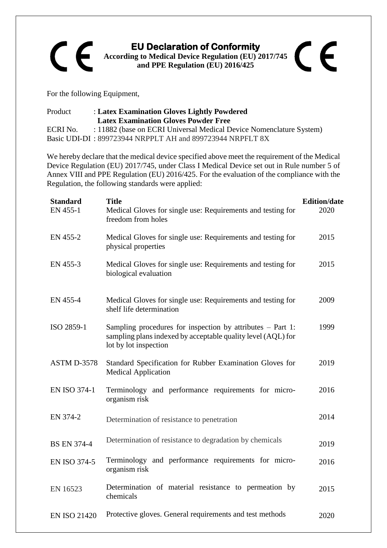## **EU Declaration of Conformity**  CE **According to Medical Device Regulation (EU) 2017/745 and PPE Regulation (EU) 2016/425**

For the following Equipment,

| Product  | : Latex Examination Gloves Lightly Powdered                         |
|----------|---------------------------------------------------------------------|
|          | <b>Latex Examination Gloves Powder Free</b>                         |
| ECRI No. | : 11882 (base on ECRI Universal Medical Device Nomenclature System) |
|          | Basic UDI-DI: 899723944 NRPPLT AH and 899723944 NRPFLT 8X           |

We hereby declare that the medical device specified above meet the requirement of the Medical Device Regulation (EU) 2017/745, under Class I Medical Device set out in Rule number 5 of Annex VIII and PPE Regulation (EU) 2016/425. For the evaluation of the compliance with the Regulation, the following standards were applied:

| <b>Standard</b><br>EN 455-1 | <b>Title</b><br>Medical Gloves for single use: Requirements and testing for<br>freedom from holes                                                     | <b>Edition/date</b><br>2020 |
|-----------------------------|-------------------------------------------------------------------------------------------------------------------------------------------------------|-----------------------------|
| EN 455-2                    | Medical Gloves for single use: Requirements and testing for<br>physical properties                                                                    | 2015                        |
| EN 455-3                    | Medical Gloves for single use: Requirements and testing for<br>biological evaluation                                                                  | 2015                        |
| EN 455-4                    | Medical Gloves for single use: Requirements and testing for<br>shelf life determination                                                               | 2009                        |
| ISO 2859-1                  | Sampling procedures for inspection by attributes $-$ Part 1:<br>sampling plans indexed by acceptable quality level (AQL) for<br>lot by lot inspection | 1999                        |
| ASTM D-3578                 | Standard Specification for Rubber Examination Gloves for<br><b>Medical Application</b>                                                                | 2019                        |
| <b>EN ISO 374-1</b>         | Terminology and performance requirements for micro-<br>organism risk                                                                                  | 2016                        |
| EN 374-2                    | Determination of resistance to penetration                                                                                                            | 2014                        |
| <b>BS EN 374-4</b>          | Determination of resistance to degradation by chemicals                                                                                               | 2019                        |
| <b>EN ISO 374-5</b>         | Terminology and performance requirements for micro-<br>organism risk                                                                                  | 2016                        |
| EN 16523                    | Determination of material resistance to permeation by<br>chemicals                                                                                    | 2015                        |
| <b>EN ISO 21420</b>         | Protective gloves. General requirements and test methods                                                                                              | 2020                        |